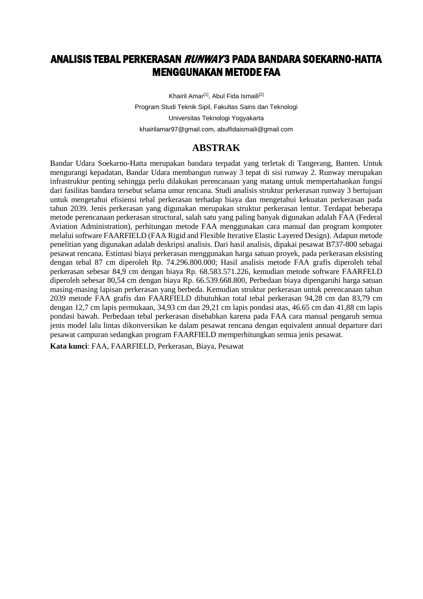# ANALISIS TEBAL PERKERASAN *RUNWAY* 3 PADA BANDARA SOEKARNO-HATTA MENGGUNAKAN METODE FAA

Khairil Amar<sup>[1]</sup>, Abul Fida Ismaili<sup>[2]</sup> Program Studi Teknik Sipil, Fakultas Sains dan Teknologi Universitas Teknologi Yogyakarta [khairilamar97@gmail.com,](mailto:khairilamar97@gmail.com) [abulfidaismaili@gmail.com](mailto:abulfidaismaili@gmail.com)

## **ABSTRAK**

Bandar Udara Soekarno-Hatta merupakan bandara terpadat yang terletak di Tangerang, Banten. Untuk mengurangi kepadatan, Bandar Udara membangun runway 3 tepat di sisi runway 2. Runway merupakan infrastruktur penting sehingga perlu dilakukan perencanaan yang matang untuk mempertahankan fungsi dari fasilitas bandara tersebut selama umur rencana. Studi analisis struktur perkerasan runway 3 bertujuan untuk mengetahui efisiensi tebal perkerasan terhadap biaya dan mengetahui kekuatan perkerasan pada tahun 2039. Jenis perkerasan yang digunakan merupakan struktur perkerasan lentur. Terdapat beberapa metode perencanaan perkerasan structural, salah satu yang paling banyak digunakan adalah FAA (Federal Aviation Administration), perhitungan metode FAA menggunakan cara manual dan program komputer melalui software FAARFIELD (FAA Rigid and Flexible Iterative Elastic Layered Design). Adapun metode penelitian yang digunakan adalah deskripsi analisis. Dari hasil analisis, dipakai pesawat B737-800 sebagai pesawat rencana. Estimasi biaya perkerasan menggunakan harga satuan proyek, pada perkerasan eksisting dengan tebal 87 cm diperoleh Rp. 74.296.800.000; Hasil analisis metode FAA grafis diperoleh tebal perkerasan sebesar 84,9 cm dengan biaya Rp. 68.583.571.226, kemudian metode software FAARFELD diperoleh sebesar 80,54 cm dengan biaya Rp. 66.539.668.800, Perbedaan biaya dipengaruhi harga satuan masing-masing lapisan perkerasan yang berbeda. Kemudian struktur perkerasan untuk perencanaan tahun 2039 metode FAA grafis dan FAARFIELD dibutuhkan total tebal perkerasan 94,28 cm dan 83,79 cm dengan 12,7 cm lapis permukaan, 34,93 cm dan 29,21 cm lapis pondasi atas, 46.65 cm dan 41,88 cm lapis pondasi bawah. Perbedaan tebal perkerasan disebabkan karena pada FAA cara manual pengaruh semua jenis model lalu lintas dikonversikan ke dalam pesawat rencana dengan equivalent annual departure dari pesawat campuran sedangkan program FAARFIELD memperhitungkan semua jenis pesawat.

**Kata kunci**: FAA, FAARFIELD, Perkerasan, Biaya, Pesawat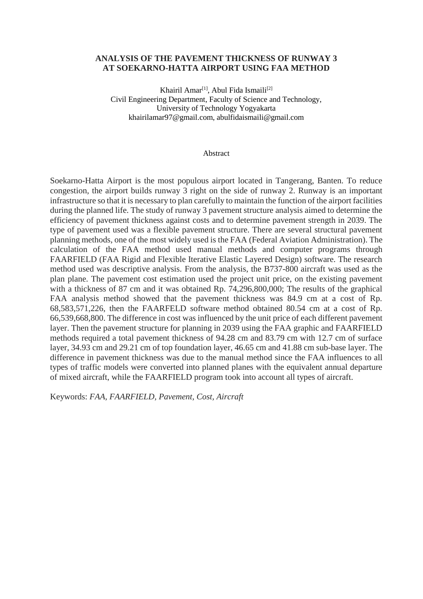## **ANALYSIS OF THE PAVEMENT THICKNESS OF RUNWAY 3 AT SOEKARNO-HATTA AIRPORT USING FAA METHOD**

Khairil Amar<sup>[1]</sup>, Abul Fida Ismaili<sup>[2]</sup> Civil Engineering Department, Faculty of Science and Technology, University of Technology Yogyakarta [khairilamar97@gmail.com,](mailto:khairilamar97@gmail.com) [abulfidaismaili@gmail.com](mailto:abulfidaismaili@gmail.com)

### Abstract

Soekarno-Hatta Airport is the most populous airport located in Tangerang, Banten. To reduce congestion, the airport builds runway 3 right on the side of runway 2. Runway is an important infrastructure so that it is necessary to plan carefully to maintain the function of the airport facilities during the planned life. The study of runway 3 pavement structure analysis aimed to determine the efficiency of pavement thickness against costs and to determine pavement strength in 2039. The type of pavement used was a flexible pavement structure. There are several structural pavement planning methods, one of the most widely used is the FAA (Federal Aviation Administration). The calculation of the FAA method used manual methods and computer programs through FAARFIELD (FAA Rigid and Flexible Iterative Elastic Layered Design) software. The research method used was descriptive analysis. From the analysis, the B737-800 aircraft was used as the plan plane. The pavement cost estimation used the project unit price, on the existing pavement with a thickness of 87 cm and it was obtained Rp. 74,296,800,000; The results of the graphical FAA analysis method showed that the pavement thickness was 84.9 cm at a cost of Rp. 68,583,571,226, then the FAARFELD software method obtained 80.54 cm at a cost of Rp. 66,539,668,800. The difference in cost was influenced by the unit price of each different pavement layer. Then the pavement structure for planning in 2039 using the FAA graphic and FAARFIELD methods required a total pavement thickness of 94.28 cm and 83.79 cm with 12.7 cm of surface layer, 34.93 cm and 29.21 cm of top foundation layer, 46.65 cm and 41.88 cm sub-base layer. The difference in pavement thickness was due to the manual method since the FAA influences to all types of traffic models were converted into planned planes with the equivalent annual departure of mixed aircraft, while the FAARFIELD program took into account all types of aircraft.

Keywords: *FAA, FAARFIELD, Pavement, Cost, Aircraft*